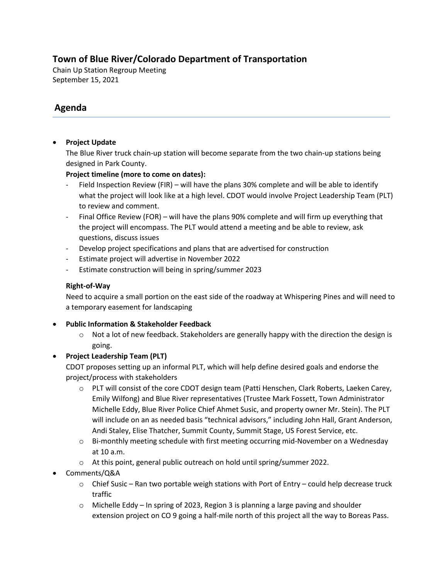## **Town of Blue River/Colorado Department of Transportation**

Chain Up Station Regroup Meeting September 15, 2021

# **Agenda**

### • **Project Update**

The Blue River truck chain-up station will become separate from the two chain-up stations being designed in Park County.

#### **Project timeline (more to come on dates):**

- Field Inspection Review (FIR) will have the plans 30% complete and will be able to identify what the project will look like at a high level. CDOT would involve Project Leadership Team (PLT) to review and comment.
- Final Office Review (FOR) will have the plans 90% complete and will firm up everything that the project will encompass. The PLT would attend a meeting and be able to review, ask questions, discuss issues
- Develop project specifications and plans that are advertised for construction
- Estimate project will advertise in November 2022
- Estimate construction will being in spring/summer 2023

#### **Right-of-Way**

Need to acquire a small portion on the east side of the roadway at Whispering Pines and will need to a temporary easement for landscaping

- **Public Information & Stakeholder Feedback** 
	- $\circ$  Not a lot of new feedback. Stakeholders are generally happy with the direction the design is going.
- **Project Leadership Team (PLT)**

CDOT proposes setting up an informal PLT, which will help define desired goals and endorse the project/process with stakeholders

- o PLT will consist of the core CDOT design team (Patti Henschen, Clark Roberts, Laeken Carey, Emily Wilfong) and Blue River representatives (Trustee Mark Fossett, Town Administrator Michelle Eddy, Blue River Police Chief Ahmet Susic, and property owner Mr. Stein). The PLT will include on an as needed basis "technical advisors," including John Hall, Grant Anderson, Andi Staley, Elise Thatcher, Summit County, Summit Stage, US Forest Service, etc.
- $\circ$  Bi-monthly meeting schedule with first meeting occurring mid-November on a Wednesday at 10 a.m.
- o At this point, general public outreach on hold until spring/summer 2022.
- Comments/Q&A
	- $\circ$  Chief Susic Ran two portable weigh stations with Port of Entry could help decrease truck traffic
	- $\circ$  Michelle Eddy In spring of 2023, Region 3 is planning a large paving and shoulder extension project on CO 9 going a half-mile north of this project all the way to Boreas Pass.